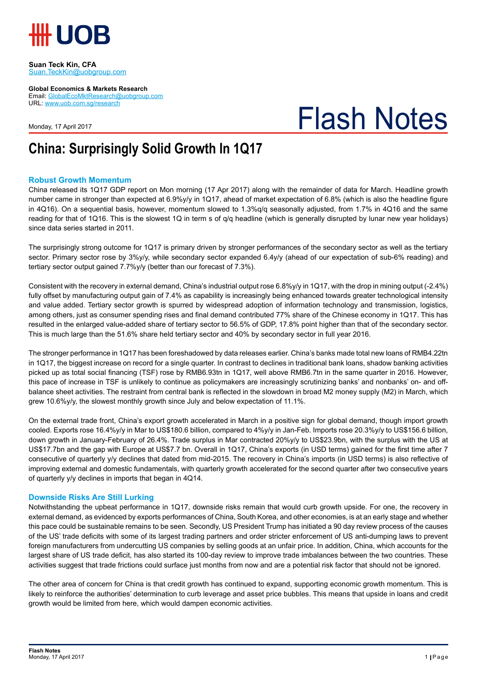

#### **Suan Teck Kin, CFA** Suan.TeckKin@uobgroup.com

**Global Economics & Markets Research**

Email: GlobalEcoMktResearch@uobgroup.com URL: www.uob.com.sg/research

Monday, 17 April 2017

# Flash Notes

## **China: Surprisingly Solid Growth In 1Q17**

### **Robust Growth Momentum**

China released its 1Q17 GDP report on Mon morning (17 Apr 2017) along with the remainder of data for March. Headline growth number came in stronger than expected at 6.9%y/y in 1Q17, ahead of market expectation of 6.8% (which is also the headline figure in 4Q16). On a sequential basis, however, momentum slowed to 1.3%q/q seasonally adjusted, from 1.7% in 4Q16 and the same reading for that of 1Q16. This is the slowest 1Q in term s of q/q headline (which is generally disrupted by lunar new year holidays) since data series started in 2011.

The surprisingly strong outcome for 1Q17 is primary driven by stronger performances of the secondary sector as well as the tertiary sector. Primary sector rose by 3%y/y, while secondary sector expanded 6.4y/y (ahead of our expectation of sub-6% reading) and tertiary sector output gained 7.7%y/y (better than our forecast of 7.3%).

Consistent with the recovery in external demand, China's industrial output rose 6.8%y/y in 1Q17, with the drop in mining output (-2.4%) fully offset by manufacturing output gain of 7.4% as capability is increasingly being enhanced towards greater technological intensity and value added. Tertiary sector growth is spurred by widespread adoption of information technology and transmission, logistics, among others, just as consumer spending rises and final demand contributed 77% share of the Chinese economy in 1Q17. This has resulted in the enlarged value-added share of tertiary sector to 56.5% of GDP, 17.8% point higher than that of the secondary sector. This is much large than the 51.6% share held tertiary sector and 40% by secondary sector in full year 2016.

The stronger performance in 1Q17 has been foreshadowed by data releases earlier. China's banks made total new loans of RMB4.22tn in 1Q17, the biggest increase on record for a single quarter. In contrast to declines in traditional bank loans, shadow banking activities picked up as total social financing (TSF) rose by RMB6.93tn in 1Q17, well above RMB6.7tn in the same quarter in 2016. However, this pace of increase in TSF is unlikely to continue as policymakers are increasingly scrutinizing banks' and nonbanks' on- and offbalance sheet activities. The restraint from central bank is reflected in the slowdown in broad M2 money supply (M2) in March, which grew 10.6%y/y, the slowest monthly growth since July and below expectation of 11.1%.

On the external trade front, China's export growth accelerated in March in a positive sign for global demand, though import growth cooled. Exports rose 16.4%y/y in Mar to US\$180.6 billion, compared to 4%y/y in Jan-Feb. Imports rose 20.3%y/y to US\$156.6 billion, down growth in January-February of 26.4%. Trade surplus in Mar contracted 20%y/y to US\$23.9bn, with the surplus with the US at US\$17.7bn and the gap with Europe at US\$7.7 bn. Overall in 1Q17, China's exports (in USD terms) gained for the first time after 7 consecutive of quarterly y/y declines that dated from mid-2015. The recovery in China's imports (in USD terms) is also reflective of improving external and domestic fundamentals, with quarterly growth accelerated for the second quarter after two consecutive years of quarterly y/y declines in imports that began in 4Q14.

#### **Downside Risks Are Still Lurking**

Notwithstanding the upbeat performance in 1Q17, downside risks remain that would curb growth upside. For one, the recovery in external demand, as evidenced by exports performances of China, South Korea, and other economies, is at an early stage and whether this pace could be sustainable remains to be seen. Secondly, US President Trump has initiated a 90 day review process of the causes of the US' trade deficits with some of its largest trading partners and order stricter enforcement of US anti-dumping laws to prevent foreign manufacturers from undercutting US companies by selling goods at an unfair price. In addition, China, which accounts for the largest share of US trade deficit, has also started its 100-day review to improve trade imbalances between the two countries. These activities suggest that trade frictions could surface just months from now and are a potential risk factor that should not be ignored.

The other area of concern for China is that credit growth has continued to expand, supporting economic growth momentum. This is likely to reinforce the authorities' determination to curb leverage and asset price bubbles. This means that upside in loans and credit growth would be limited from here, which would dampen economic activities.